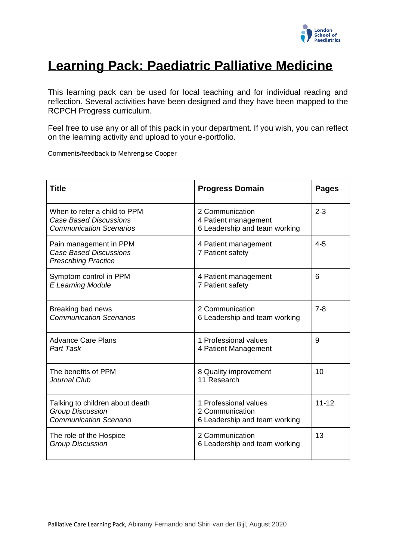

# **Learning Pack: Paediatric Palliative Medicine**

This learning pack can be used for local teaching and for individual reading and reflection. Several activities have been designed and they have been mapped to the RCPCH Progress curriculum.

Feel free to use any or all of this pack in your department. If you wish, you can reflect on the learning activity and upload to your e-portfolio.

Comments/feedback to Mehrengise Cooper

| <b>Title</b>                                                                                    | <b>Progress Domain</b>                                                    | <b>Pages</b> |
|-------------------------------------------------------------------------------------------------|---------------------------------------------------------------------------|--------------|
| When to refer a child to PPM<br><b>Case Based Discussions</b><br><b>Communication Scenarios</b> | 2 Communication<br>4 Patient management<br>6 Leadership and team working  | $2 - 3$      |
| Pain management in PPM<br><b>Case Based Discussions</b><br><b>Prescribing Practice</b>          | 4 Patient management<br>7 Patient safety                                  | $4 - 5$      |
| Symptom control in PPM<br><b>E Learning Module</b>                                              | 4 Patient management<br>7 Patient safety                                  | 6            |
| Breaking bad news<br><b>Communication Scenarios</b>                                             | 2 Communication<br>6 Leadership and team working                          | $7 - 8$      |
| <b>Advance Care Plans</b><br><b>Part Task</b>                                                   | 1 Professional values<br>4 Patient Management                             | 9            |
| The benefits of PPM<br>Journal Club                                                             | 8 Quality improvement<br>11 Research                                      | 10           |
| Talking to children about death<br><b>Group Discussion</b><br><b>Communication Scenario</b>     | 1 Professional values<br>2 Communication<br>6 Leadership and team working | $11 - 12$    |
| The role of the Hospice<br><b>Group Discussion</b>                                              | 2 Communication<br>6 Leadership and team working                          | 13           |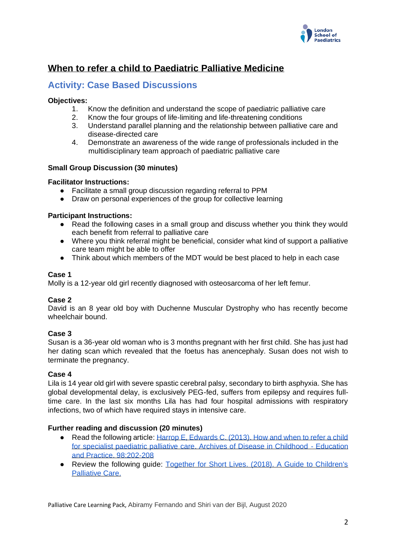

## **When to refer a child to Paediatric Palliative Medicine**

## **Activity: Case Based Discussions**

## **Objectives:**

- 1. Know the definition and understand the scope of paediatric palliative care
- 2. Know the four groups of life-limiting and life-threatening conditions
- 3. Understand parallel planning and the relationship between palliative care and disease-directed care
- 4. Demonstrate an awareness of the wide range of professionals included in the multidisciplinary team approach of paediatric palliative care

## **Small Group Discussion (30 minutes)**

## **Facilitator Instructions:**

- Facilitate a small group discussion regarding referral to PPM
- Draw on personal experiences of the group for collective learning

## **Participant Instructions:**

- Read the following cases in a small group and discuss whether you think they would each benefit from referral to palliative care
- Where you think referral might be beneficial, consider what kind of support a palliative care team might be able to offer
- Think about which members of the MDT would be best placed to help in each case

## **Case 1**

Molly is a 12-year old girl recently diagnosed with osteosarcoma of her left femur.

## **Case 2**

David is an 8 year old boy with Duchenne Muscular Dystrophy who has recently become wheelchair bound.

## **Case 3**

Susan is a 36-year old woman who is 3 months pregnant with her first child. She has just had her dating scan which revealed that the foetus has anencephaly. Susan does not wish to terminate the pregnancy.

## **Case 4**

Lila is 14 year old girl with severe spastic cerebral palsy, secondary to birth asphyxia. She has global developmental delay, is exclusively PEG-fed, suffers from epilepsy and requires fulltime care. In the last six months Lila has had four hospital admissions with respiratory infections, two of which have required stays in intensive care.

## **Further reading and discussion (20 minutes)**

- Read the following article: Harrop E, Edwards C. (2013). How and when to refer a child [for specialist paediatric palliative care. Archives of Disease in Childhood -](https://ep.bmj.com/content/98/6/202) Education [and Practice. 98:202-208](https://ep.bmj.com/content/98/6/202)
- Review the following quide: Together for Short Lives. (2018). A Guide to Children's [Palliative Care.](https://www.togetherforshortlives.org.uk/wp-content/uploads/2018/03/TfSL-A-Guide-to-Children%E2%80%99s-Palliative-Care-Fourth-Edition-5.pdf)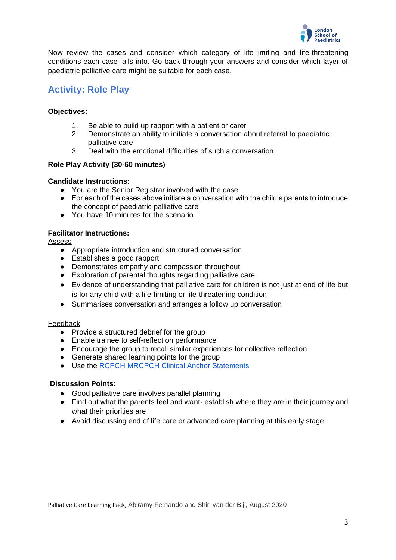

Now review the cases and consider which category of life-limiting and life-threatening conditions each case falls into. Go back through your answers and consider which layer of paediatric palliative care might be suitable for each case.

## **Activity: Role Play**

## **Objectives:**

- 1. Be able to build up rapport with a patient or carer
- 2. Demonstrate an ability to initiate a conversation about referral to paediatric palliative care
- 3. Deal with the emotional difficulties of such a conversation

## **Role Play Activity (30-60 minutes)**

#### **Candidate Instructions:**

- You are the Senior Registrar involved with the case
- For each of the cases above initiate a conversation with the child's parents to introduce the concept of paediatric palliative care
- You have 10 minutes for the scenario

#### **Facilitator Instructions:**

Assess

- Appropriate introduction and structured conversation
- Establishes a good rapport
- Demonstrates empathy and compassion throughout
- Exploration of parental thoughts regarding palliative care
- Evidence of understanding that palliative care for children is not just at end of life but is for any child with a life-limiting or life-threatening condition
- Summarises conversation and arranges a follow up conversation

#### Feedback

- Provide a structured debrief for the group
- Enable trainee to self-reflect on performance
- Encourage the group to recall similar experiences for collective reflection
- Generate shared learning points for the group
- Use the [RCPCH MRCPCH Clinical Anchor Statements](https://www.rcpch.ac.uk/sites/default/files/2020-05/anchor_statement_by_station_type_updated_jc_27_mar_2020_0.pdf)

#### **Discussion Points:**

- Good palliative care involves parallel planning
- Find out what the parents feel and want- establish where they are in their journey and what their priorities are
- Avoid discussing end of life care or advanced care planning at this early stage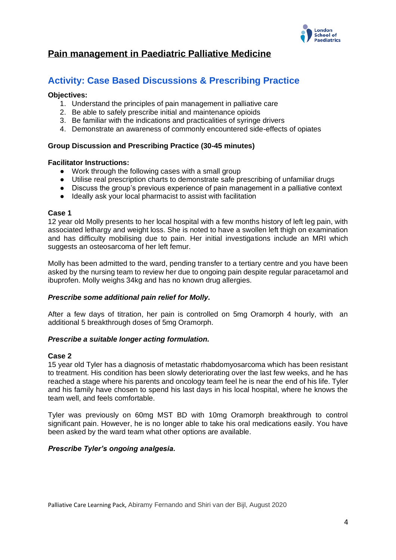

## **Pain management in Paediatric Palliative Medicine**

## **Activity: Case Based Discussions & Prescribing Practice**

#### **Objectives:**

- 1. Understand the principles of pain management in palliative care
- 2. Be able to safely prescribe initial and maintenance opioids
- 3. Be familiar with the indications and practicalities of syringe drivers
- 4. Demonstrate an awareness of commonly encountered side-effects of opiates

## **Group Discussion and Prescribing Practice (30-45 minutes)**

#### **Facilitator Instructions:**

- Work through the following cases with a small group
- Utilise real prescription charts to demonstrate safe prescribing of unfamiliar drugs
- Discuss the group's previous experience of pain management in a palliative context
- Ideally ask your local pharmacist to assist with facilitation

#### **Case 1**

12 year old Molly presents to her local hospital with a few months history of left leg pain, with associated lethargy and weight loss. She is noted to have a swollen left thigh on examination and has difficulty mobilising due to pain. Her initial investigations include an MRI which suggests an osteosarcoma of her left femur.

Molly has been admitted to the ward, pending transfer to a tertiary centre and you have been asked by the nursing team to review her due to ongoing pain despite regular paracetamol and ibuprofen. Molly weighs 34kg and has no known drug allergies.

#### *Prescribe some additional pain relief for Molly.*

After a few days of titration, her pain is controlled on 5mg Oramorph 4 hourly, with an additional 5 breakthrough doses of 5mg Oramorph.

#### *Prescribe a suitable longer acting formulation.*

#### **Case 2**

15 year old Tyler has a diagnosis of metastatic rhabdomyosarcoma which has been resistant to treatment. His condition has been slowly deteriorating over the last few weeks, and he has reached a stage where his parents and oncology team feel he is near the end of his life. Tyler and his family have chosen to spend his last days in his local hospital, where he knows the team well, and feels comfortable.

Tyler was previously on 60mg MST BD with 10mg Oramorph breakthrough to control significant pain. However, he is no longer able to take his oral medications easily. You have been asked by the ward team what other options are available.

## *Prescribe Tyler's ongoing analgesia.*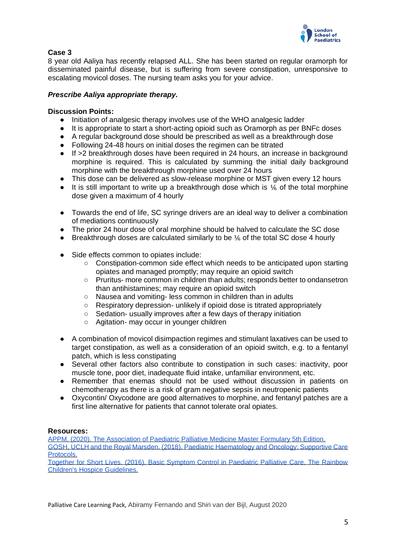

## **Case 3**

8 year old Aaliya has recently relapsed ALL. She has been started on regular oramorph for disseminated painful disease, but is suffering from severe constipation, unresponsive to escalating movicol doses. The nursing team asks you for your advice.

## *Prescribe Aaliya appropriate therapy.*

## **Discussion Points:**

- Initiation of analgesic therapy involves use of the WHO analgesic ladder
- It is appropriate to start a short-acting opioid such as Oramorph as per BNFc doses
- A regular background dose should be prescribed as well as a breakthrough dose
- Following 24-48 hours on initial doses the regimen can be titrated
- If >2 breakthrough doses have been required in 24 hours, an increase in background morphine is required. This is calculated by summing the initial daily background morphine with the breakthrough morphine used over 24 hours
- This dose can be delivered as slow-release morphine or MST given every 12 hours
- $\bullet$  It is still important to write up a breakthrough dose which is  $\frac{1}{6}$  of the total morphine dose given a maximum of 4 hourly
- Towards the end of life, SC syringe drivers are an ideal way to deliver a combination of mediations continuously
- The prior 24 hour dose of oral morphine should be halved to calculate the SC dose
- Breakthrough doses are calculated similarly to be  $\frac{1}{6}$  of the total SC dose 4 hourly
- Side effects common to opiates include:
	- Constipation-common side effect which needs to be anticipated upon starting opiates and managed promptly; may require an opioid switch
	- Pruritus- more common in children than adults; responds better to ondansetron than antihistamines; may require an opioid switch
	- Nausea and vomiting- less common in children than in adults
	- Respiratory depression- unlikely if opioid dose is titrated appropriately
	- Sedation- usually improves after a few days of therapy initiation
	- Agitation- may occur in younger children
- A combination of movicol disimpaction regimes and stimulant laxatives can be used to target constipation, as well as a consideration of an opioid switch, e.g. to a fentanyl patch, which is less constipating
- Several other factors also contribute to constipation in such cases: inactivity, poor muscle tone, poor diet, inadequate fluid intake, unfamiliar environment, etc.
- Remember that enemas should not be used without discussion in patients on chemotherapy as there is a risk of gram negative sepsis in neutropenic patients
- Oxycontin/ Oxycodone are good alternatives to morphine, and fentanyl patches are a first line alternative for patients that cannot tolerate oral opiates.

## **Resources:**

[APPM. \(2020\). The Association of Paediatric Palliative Medicine Master Formulary 5th Edition.](https://www.appm.org.uk/_webedit/uploaded-files/All%20Files/Event%20Resources/2020%20APPM%20Master%20Formulary%202020%20protected.pdf)  [GOSH, UCLH and the Royal Marsden. \(2018\). Paediatric Haematology and Oncology: Supportive Care](https://www.georgespicu.org.uk/wp-content/uploads/bsk-pdf-manager/2018/10/Oncology-Supporitve-Care-Guidelines-Ed4-v2.0-2018.pdf)  [Protocols.](https://www.georgespicu.org.uk/wp-content/uploads/bsk-pdf-manager/2018/10/Oncology-Supporitve-Care-Guidelines-Ed4-v2.0-2018.pdf) 

[Together for Short Lives. \(2016\). Basic Symptom Control in Paediatric Palliative Care. The Rainbow](https://www.togetherforshortlives.org.uk/resource/basic-symptom-control-paediatric-palliative-care/)  [Children's Hospice Guidelines.](https://www.togetherforshortlives.org.uk/resource/basic-symptom-control-paediatric-palliative-care/)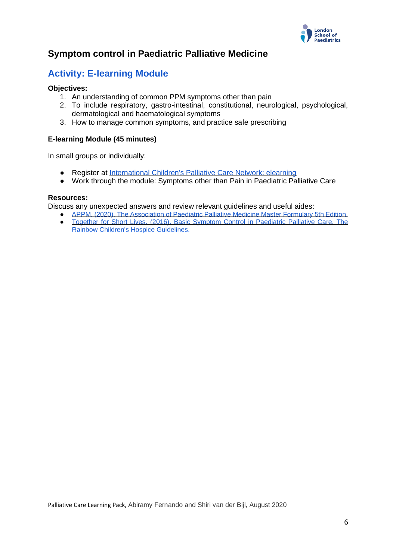

## **Symptom control in Paediatric Palliative Medicine**

## **Activity: E-learning Module**

## **Objectives:**

- 1. An understanding of common PPM symptoms other than pain
- 2. To include respiratory, gastro-intestinal, constitutional, neurological, psychological, dermatological and haematological symptoms
- 3. How to manage common symptoms, and practice safe prescribing

## **E-learning Module (45 minutes)**

In small groups or individually:

- Register at [International Children's Palliative Care Network: elearning](https://www.elearnicpcn.org/login/index.php)
- Work through the module: Symptoms other than Pain in Paediatric Palliative Care

#### **Resources:**

Discuss any unexpected answers and review relevant guidelines and useful aides:

- APPM. (2020). The Association of Paediatric Palliative Medicine Master Formulary 5th Edition.
- Together for Short Lives. (2016). Basic Symptom Control in Paediatric Palliative Care. The [Rainbow Children's Hospice Guidelines.](https://www.togetherforshortlives.org.uk/resource/basic-symptom-control-paediatric-palliative-care/)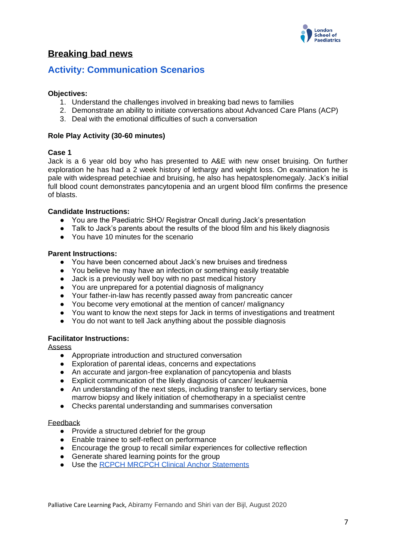

## **Breaking bad news**

## **Activity: Communication Scenarios**

## **Objectives:**

- 1. Understand the challenges involved in breaking bad news to families
- 2. Demonstrate an ability to initiate conversations about Advanced Care Plans (ACP)
- 3. Deal with the emotional difficulties of such a conversation

#### **Role Play Activity (30-60 minutes)**

#### **Case 1**

Jack is a 6 year old boy who has presented to A&E with new onset bruising. On further exploration he has had a 2 week history of lethargy and weight loss. On examination he is pale with widespread petechiae and bruising, he also has hepatosplenomegaly. Jack's initial full blood count demonstrates pancytopenia and an urgent blood film confirms the presence of blasts.

#### **Candidate Instructions:**

- You are the Paediatric SHO/ Registrar Oncall during Jack's presentation
- Talk to Jack's parents about the results of the blood film and his likely diagnosis
- You have 10 minutes for the scenario

#### **Parent Instructions:**

- You have been concerned about Jack's new bruises and tiredness
- You believe he may have an infection or something easily treatable
- Jack is a previously well boy with no past medical history
- You are unprepared for a potential diagnosis of malignancy
- Your father-in-law has recently passed away from pancreatic cancer
- You become very emotional at the mention of cancer/ malignancy
- You want to know the next steps for Jack in terms of investigations and treatment
- You do not want to tell Jack anything about the possible diagnosis

## **Facilitator Instructions:**

Assess

- Appropriate introduction and structured conversation
- Exploration of parental ideas, concerns and expectations
- An accurate and jargon-free explanation of pancytopenia and blasts
- Explicit communication of the likely diagnosis of cancer/ leukaemia
- An understanding of the next steps, including transfer to tertiary services, bone marrow biopsy and likely initiation of chemotherapy in a specialist centre
- Checks parental understanding and summarises conversation

#### Feedback

- Provide a structured debrief for the group
- Enable trainee to self-reflect on performance
- Encourage the group to recall similar experiences for collective reflection
- Generate shared learning points for the group
- Use the [RCPCH MRCPCH Clinical Anchor Statements](https://www.rcpch.ac.uk/sites/default/files/2020-05/anchor_statement_by_station_type_updated_jc_27_mar_2020_0.pdf)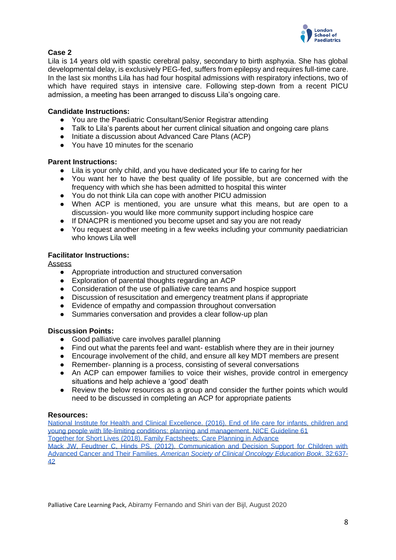

## **Case 2**

Lila is 14 years old with spastic cerebral palsy, secondary to birth asphyxia. She has global developmental delay, is exclusively PEG-fed, suffers from epilepsy and requires full-time care. In the last six months Lila has had four hospital admissions with respiratory infections, two of which have required stays in intensive care. Following step-down from a recent PICU admission, a meeting has been arranged to discuss Lila's ongoing care.

## **Candidate Instructions:**

- You are the Paediatric Consultant/Senior Registrar attending
- Talk to Lila's parents about her current clinical situation and ongoing care plans
- Initiate a discussion about Advanced Care Plans (ACP)
- You have 10 minutes for the scenario

## **Parent Instructions:**

- Lila is your only child, and you have dedicated your life to caring for her
- You want her to have the best quality of life possible, but are concerned with the frequency with which she has been admitted to hospital this winter
- You do not think Lila can cope with another PICU admission
- When ACP is mentioned, you are unsure what this means, but are open to a discussion- you would like more community support including hospice care
- If DNACPR is mentioned you become upset and say you are not ready
- You request another meeting in a few weeks including your community paediatrician who knows Lila well

## **Facilitator Instructions:**

Assess

- Appropriate introduction and structured conversation
- Exploration of parental thoughts regarding an ACP
- Consideration of the use of palliative care teams and hospice support
- Discussion of resuscitation and emergency treatment plans if appropriate
- Evidence of empathy and compassion throughout conversation
- Summaries conversation and provides a clear follow-up plan

## **Discussion Points:**

- Good palliative care involves parallel planning
- Find out what the parents feel and want- establish where they are in their journey
- Encourage involvement of the child, and ensure all key MDT members are present
- Remember- planning is a process, consisting of several conversations
- An ACP can empower families to voice their wishes, provide control in emergency situations and help achieve a 'good' death
- Review the below resources as a group and consider the further points which would need to be discussed in completing an ACP for appropriate patients

## **Resources:**

[National Institute for Health and Clinical Excellence. \(2016\). End of life care for infants, children and](https://www.nice.org.uk/guidance/ng61)  [young people with life-limiting conditions: planning and management.](https://www.nice.org.uk/guidance/ng61) NICE Guideline 61 [Together for Short Lives \(2018\). Family Factsheets: Care Planning in Advance](https://www.togetherforshortlives.org.uk/wp-content/uploads/2018/01/FamRes-Care-Planning-in-Advance-Factsheet.pdf) [Mack JW, Feudtner C, Hinds PS. \(2012\). Communication and Decision Support for Children with](https://ascopubs.org/doi/10.14694/EdBook_AM.2012.32.164?url_ver=Z39.88-2003&rfr_id=ori:rid:crossref.org&rfr_dat=cr_pub%20%200pubmed)  [Advanced Cancer and Their Families.](https://ascopubs.org/doi/10.14694/EdBook_AM.2012.32.164?url_ver=Z39.88-2003&rfr_id=ori:rid:crossref.org&rfr_dat=cr_pub%20%200pubmed) *[American Society of Clinical Oncology Education Book](https://ascopubs.org/doi/10.14694/EdBook_AM.2012.32.164?url_ver=Z39.88-2003&rfr_id=ori:rid:crossref.org&rfr_dat=cr_pub%20%200pubmed)*[. 32:637-](https://ascopubs.org/doi/10.14694/EdBook_AM.2012.32.164?url_ver=Z39.88-2003&rfr_id=ori:rid:crossref.org&rfr_dat=cr_pub%20%200pubmed) [42](https://ascopubs.org/doi/10.14694/EdBook_AM.2012.32.164?url_ver=Z39.88-2003&rfr_id=ori:rid:crossref.org&rfr_dat=cr_pub%20%200pubmed)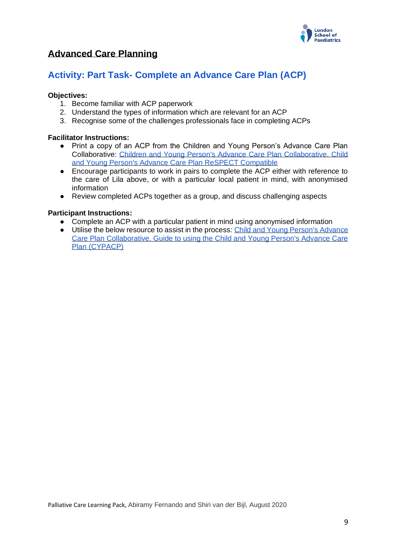

## **Advanced Care Planning**

## **Activity: Part Task- Complete an Advance Care Plan (ACP)**

## **Objectives:**

- 1. Become familiar with ACP paperwork
- 2. Understand the types of information which are relevant for an ACP
- 3. Recognise some of the challenges professionals face in completing ACPs

## **Facilitator Instructions:**

- Print a copy of an ACP from the Children and Young Person's Advance Care Plan Collaborative: [Children and Young Person's Advance Care Plan Collaborative. Child](http://cypacp.uk/wp-content/uploads/2020/03/CYPACP-Respect-form-v4.pdf)  [and Young Person's Advance Care Plan ReSPECT Compatible](http://cypacp.uk/wp-content/uploads/2020/03/CYPACP-Respect-form-v4.pdf)
- Encourage participants to work in pairs to complete the ACP either with reference to the care of Lila above, or with a particular local patient in mind, with anonymised information
- Review completed ACPs together as a group, and discuss challenging aspects

## **Participant Instructions:**

- Complete an ACP with a particular patient in mind using anonymised information
- Utilise the below resource to assist in the process: Child and Young Person's Advance [Care Plan Collaborative. Guide to using the Child and Young Person's Advance Care](http://cypacp.uk/wp-content/uploads/2017/01/CYPACP-guide-Final-v1.-6.pdf)  [Plan \(CYPACP\)](http://cypacp.uk/wp-content/uploads/2017/01/CYPACP-guide-Final-v1.-6.pdf)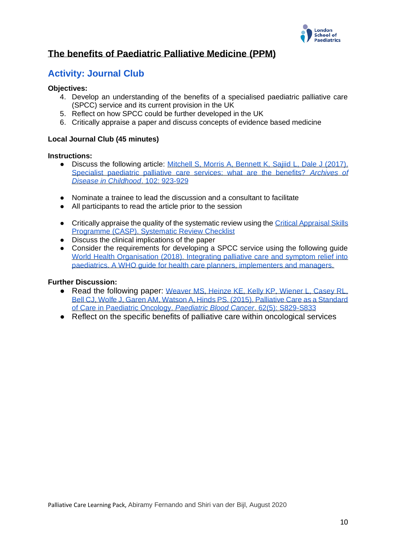

## **The benefits of Paediatric Palliative Medicine (PPM)**

## **Activity: Journal Club**

## **Objectives:**

- 4. Develop an understanding of the benefits of a specialised paediatric palliative care (SPCC) service and its current provision in the UK
- 5. Reflect on how SPCC could be further developed in the UK
- 6. Critically appraise a paper and discuss concepts of evidence based medicine

## **Local Journal Club (45 minutes)**

#### **Instructions:**

- Discuss the following article: Mitchell S, Morris A, Bennett K, Saiiid L, Dale J (2017). [Specialist paediatric palliative care services: what are the benefits?](https://adc.bmj.com/content/102/10/923) *[Archives of](https://adc.bmj.com/content/102/10/923)  [Disease in Childhood](https://adc.bmj.com/content/102/10/923)*[. 102: 923-929](https://adc.bmj.com/content/102/10/923)
- Nominate a trainee to lead the discussion and a consultant to facilitate
- All participants to read the article prior to the session
- Critically appraise the quality of the systematic review using the Critical Appraisal Skills [Programme \(CASP\). Systematic Review Checklist](https://casp-uk.net/wp-content/uploads/2018/01/CASP-Systematic-Review-Checklist_2018.pdf)
- Discuss the clinical implications of the paper
- Consider the requirements for developing a SPCC service using the following guide [World Health Organisation \(2018\). Integrating palliative care and symptom relief into](https://apps.who.int/iris/bitstream/handle/10665/274561/9789241514453-eng.pdf?sequence=1&isAllowed=y)  [paediatrics. A WHO guide for health care planners, implementers and managers.](https://apps.who.int/iris/bitstream/handle/10665/274561/9789241514453-eng.pdf?sequence=1&isAllowed=y)

## **Further Discussion:**

- Read the following paper: Weaver MS, Heinze KE, Kelly KP, Wiener L, Casey RL, [Bell CJ, Wolfe J, Garen AM, Watson A, Hinds PS. \(2015\). Palliative Care as a Standard](https://www.ncbi.nlm.nih.gov/pmc/articles/PMC5198905/)  [of Care in Paediatric Oncology.](https://www.ncbi.nlm.nih.gov/pmc/articles/PMC5198905/) *[Paediatric Blood Cancer](https://www.ncbi.nlm.nih.gov/pmc/articles/PMC5198905/)*[. 62\(5\): S829-S833](https://www.ncbi.nlm.nih.gov/pmc/articles/PMC5198905/)
- Reflect on the specific benefits of palliative care within oncological services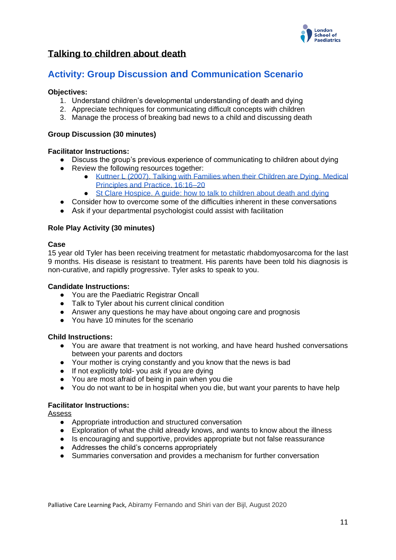

## **Talking to children about death**

## **Activity: Group Discussion and Communication Scenario**

## **Objectives:**

- 1. Understand children's developmental understanding of death and dying
- 2. Appreciate techniques for communicating difficult concepts with children
- 3. Manage the process of breaking bad news to a child and discussing death

#### **Group Discussion (30 minutes)**

#### **Facilitator Instructions:**

- Discuss the group's previous experience of communicating to children about dying
- Review the following resources together:
	- [Kuttner L \(2007\). Talking with Families when their Children are Dying. Medical](https://www.karger.com/Article/PDF/104542)  [Principles and Practice. 16:16–20](https://www.karger.com/Article/PDF/104542)
	- [St Clare Hospice. A guide: how to talk to children about death and dying](https://stclarehospice.org.uk/wp-content/uploads/2018/11/HOWTOT1.pdf)
- Consider how to overcome some of the difficulties inherent in these conversations
- Ask if your departmental psychologist could assist with facilitation

#### **Role Play Activity (30 minutes)**

#### **Case**

15 year old Tyler has been receiving treatment for metastatic rhabdomyosarcoma for the last 9 months. His disease is resistant to treatment. His parents have been told his diagnosis is non-curative, and rapidly progressive. Tyler asks to speak to you.

#### **Candidate Instructions:**

- You are the Paediatric Registrar Oncall
- Talk to Tyler about his current clinical condition
- Answer any questions he may have about ongoing care and prognosis
- You have 10 minutes for the scenario

## **Child Instructions:**

- You are aware that treatment is not working, and have heard hushed conversations between your parents and doctors
- Your mother is crying constantly and you know that the news is bad
- If not explicitly told- you ask if you are dying
- You are most afraid of being in pain when you die
- You do not want to be in hospital when you die, but want your parents to have help

#### **Facilitator Instructions:**

Assess

- Appropriate introduction and structured conversation
- Exploration of what the child already knows, and wants to know about the illness
- Is encouraging and supportive, provides appropriate but not false reassurance
- Addresses the child's concerns appropriately
- Summaries conversation and provides a mechanism for further conversation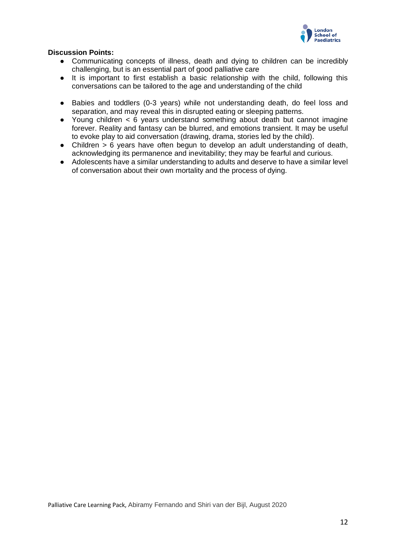

## **Discussion Points:**

- Communicating concepts of illness, death and dying to children can be incredibly challenging, but is an essential part of good palliative care
- It is important to first establish a basic relationship with the child, following this conversations can be tailored to the age and understanding of the child
- Babies and toddlers (0-3 years) while not understanding death, do feel loss and separation, and may reveal this in disrupted eating or sleeping patterns.
- Young children < 6 years understand something about death but cannot imagine forever. Reality and fantasy can be blurred, and emotions transient. It may be useful to evoke play to aid conversation (drawing, drama, stories led by the child).
- Children > 6 years have often begun to develop an adult understanding of death, acknowledging its permanence and inevitability; they may be fearful and curious.
- Adolescents have a similar understanding to adults and deserve to have a similar level of conversation about their own mortality and the process of dying.